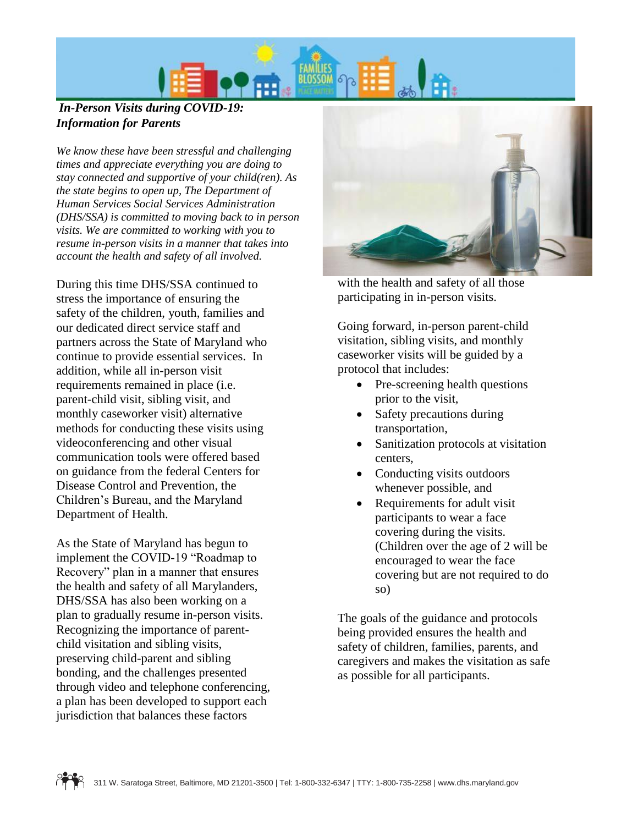

## *In-Person Visits during COVID-19: Information for Parents*

*We know these have been stressful and challenging times and appreciate everything you are doing to stay connected and supportive of your child(ren). As the state begins to open up, The Department of Human Services Social Services Administration (DHS/SSA) is committed to moving back to in person visits. We are committed to working with you to resume in-person visits in a manner that takes into account the health and safety of all involved.*

During this time DHS/SSA continued to stress the importance of ensuring the safety of the children, youth, families and our dedicated direct service staff and partners across the State of Maryland who continue to provide essential services. In addition, while all in-person visit requirements remained in place (i.e. parent-child visit, sibling visit, and monthly caseworker visit) alternative methods for conducting these visits using videoconferencing and other visual communication tools were offered based on guidance from the federal Centers for Disease Control and Prevention, the Children's Bureau, and the Maryland Department of Health.

As the State of Maryland has begun to implement the COVID-19 "Roadmap to Recovery" plan in a manner that ensures the health and safety of all Marylanders, DHS/SSA has also been working on a plan to gradually resume in-person visits. Recognizing the importance of parentchild visitation and sibling visits, preserving child-parent and sibling bonding, and the challenges presented through video and telephone conferencing, a plan has been developed to support each jurisdiction that balances these factors



with the health and safety of all those participating in in-person visits.

Going forward, in-person parent-child visitation, sibling visits, and monthly caseworker visits will be guided by a protocol that includes:

- Pre-screening health questions prior to the visit,
- Safety precautions during transportation,
- Sanitization protocols at visitation centers,
- Conducting visits outdoors whenever possible, and
- Requirements for adult visit participants to wear a face covering during the visits. (Children over the age of 2 will be encouraged to wear the face covering but are not required to do so)

The goals of the guidance and protocols being provided ensures the health and safety of children, families, parents, and caregivers and makes the visitation as safe as possible for all participants.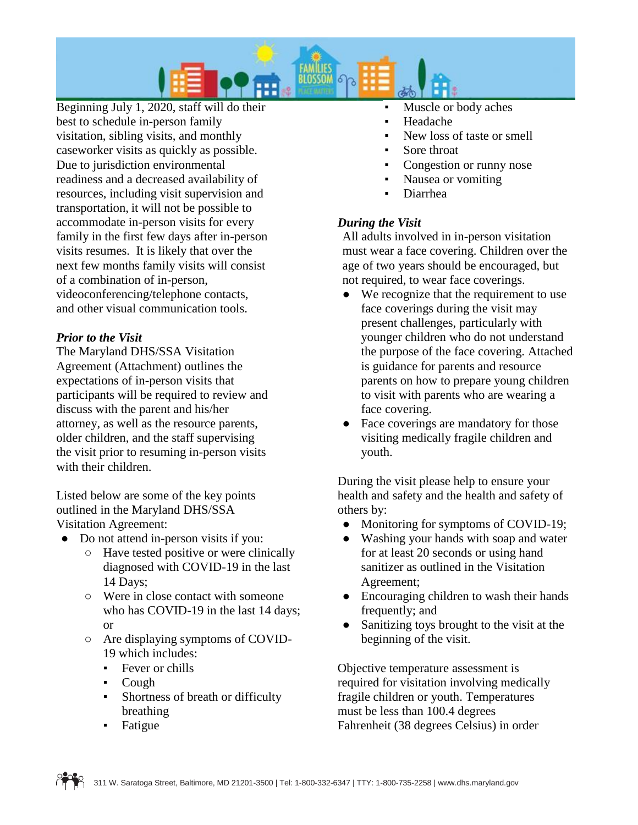

Beginning July 1, 2020, staff will do their best to schedule in-person family visitation, sibling visits, and monthly caseworker visits as quickly as possible. Due to jurisdiction environmental readiness and a decreased availability of resources, including visit supervision and transportation, it will not be possible to accommodate in-person visits for every family in the first few days after in-person visits resumes. It is likely that over the next few months family visits will consist of a combination of in-person, videoconferencing/telephone contacts, and other visual communication tools.

## *Prior to the Visit*

The Maryland DHS/SSA Visitation Agreement (Attachment) outlines the expectations of in-person visits that participants will be required to review and discuss with the parent and his/her attorney, as well as the resource parents, older children, and the staff supervising the visit prior to resuming in-person visits with their children.

Listed below are some of the key points outlined in the Maryland DHS/SSA Visitation Agreement:

- Do not attend in-person visits if you:
	- Have tested positive or were clinically diagnosed with COVID-19 in the last 14 Days;
	- Were in close contact with someone who has COVID-19 in the last 14 days; or
	- Are displaying symptoms of COVID-19 which includes:
		- Fever or chills
		- **Cough**
		- Shortness of breath or difficulty breathing
		- **Fatigue**
- Muscle or body aches
- **Headache**
- New loss of taste or smell
- Sore throat
- Congestion or runny nose
- Nausea or vomiting
- Diarrhea

## *During the Visit*

All adults involved in in-person visitation must wear a face covering. Children over the age of two years should be encouraged, but not required, to wear face coverings.

- We recognize that the requirement to use face coverings during the visit may present challenges, particularly with younger children who do not understand the purpose of the face covering. Attached is guidance for parents and resource parents on how to prepare young children to visit with parents who are wearing a face covering.
- Face coverings are mandatory for those visiting medically fragile children and youth.

During the visit please help to ensure your health and safety and the health and safety of others by:

- Monitoring for symptoms of COVID-19;
- Washing your hands with soap and water for at least 20 seconds or using hand sanitizer as outlined in the Visitation Agreement;
- Encouraging children to wash their hands frequently; and
- Sanitizing toys brought to the visit at the beginning of the visit.

Objective temperature assessment is required for visitation involving medically fragile children or youth. Temperatures must be less than 100.4 degrees Fahrenheit (38 degrees Celsius) in order